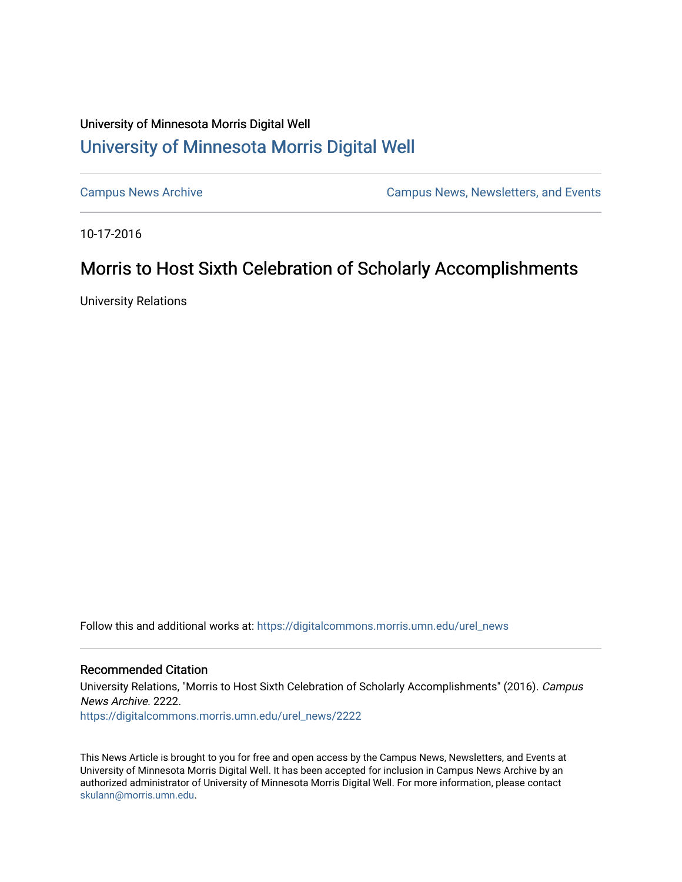# University of Minnesota Morris Digital Well [University of Minnesota Morris Digital Well](https://digitalcommons.morris.umn.edu/)

[Campus News Archive](https://digitalcommons.morris.umn.edu/urel_news) [Campus News, Newsletters, and Events](https://digitalcommons.morris.umn.edu/externalrel) 

10-17-2016

# Morris to Host Sixth Celebration of Scholarly Accomplishments

University Relations

Follow this and additional works at: [https://digitalcommons.morris.umn.edu/urel\\_news](https://digitalcommons.morris.umn.edu/urel_news?utm_source=digitalcommons.morris.umn.edu%2Furel_news%2F2222&utm_medium=PDF&utm_campaign=PDFCoverPages) 

## Recommended Citation

University Relations, "Morris to Host Sixth Celebration of Scholarly Accomplishments" (2016). Campus News Archive. 2222.

[https://digitalcommons.morris.umn.edu/urel\\_news/2222](https://digitalcommons.morris.umn.edu/urel_news/2222?utm_source=digitalcommons.morris.umn.edu%2Furel_news%2F2222&utm_medium=PDF&utm_campaign=PDFCoverPages) 

This News Article is brought to you for free and open access by the Campus News, Newsletters, and Events at University of Minnesota Morris Digital Well. It has been accepted for inclusion in Campus News Archive by an authorized administrator of University of Minnesota Morris Digital Well. For more information, please contact [skulann@morris.umn.edu.](mailto:skulann@morris.umn.edu)